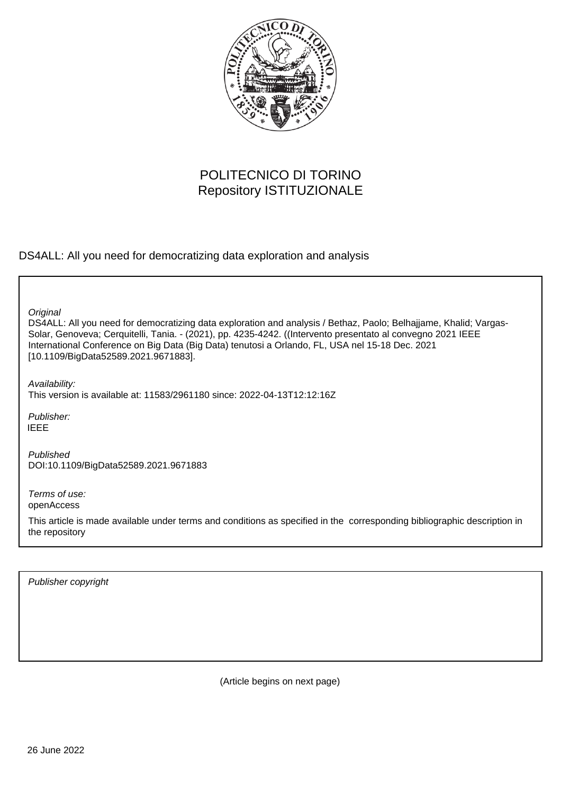

# POLITECNICO DI TORINO Repository ISTITUZIONALE

DS4ALL: All you need for democratizing data exploration and analysis

DS4ALL: All you need for democratizing data exploration and analysis / Bethaz, Paolo; Belhajjame, Khalid; Vargas-Solar, Genoveva; Cerquitelli, Tania. - (2021), pp. 4235-4242. ((Intervento presentato al convegno 2021 IEEE International Conference on Big Data (Big Data) tenutosi a Orlando, FL, USA nel 15-18 Dec. 2021 [10.1109/BigData52589.2021.9671883]. **Original** Publisher: Published DOI:10.1109/BigData52589.2021.9671883 Availability: This version is available at: 11583/2961180 since: 2022-04-13T12:12:16Z IEEE

Terms of use: openAccess

This article is made available under terms and conditions as specified in the corresponding bibliographic description in the repository

Publisher copyright

(Article begins on next page)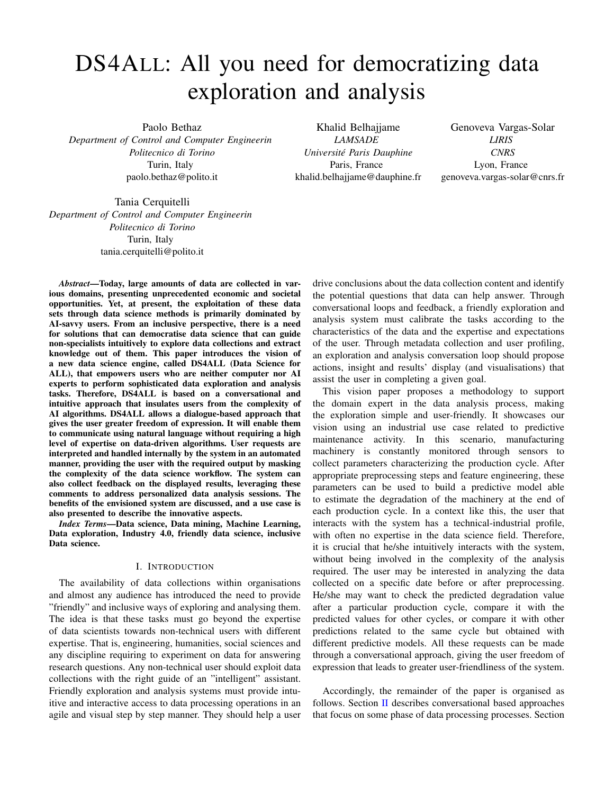# DS4ALL: All you need for democratizing data exploration and analysis

Paolo Bethaz *Department of Control and Computer Engineerin Politecnico di Torino* Turin, Italy paolo.bethaz@polito.it

Khalid Belhajjame *LAMSADE Universite Paris Dauphine ´* Paris, France khalid.belhajjame@dauphine.fr

Genoveva Vargas-Solar *LIRIS CNRS* Lyon, France genoveva.vargas-solar@cnrs.fr

Tania Cerquitelli *Department of Control and Computer Engineerin Politecnico di Torino* Turin, Italy tania.cerquitelli@polito.it

*Abstract*—Today, large amounts of data are collected in various domains, presenting unprecedented economic and societal opportunities. Yet, at present, the exploitation of these data sets through data science methods is primarily dominated by AI-savvy users. From an inclusive perspective, there is a need for solutions that can democratise data science that can guide non-specialists intuitively to explore data collections and extract knowledge out of them. This paper introduces the vision of a new data science engine, called DS4ALL (Data Science for ALL), that empowers users who are neither computer nor AI experts to perform sophisticated data exploration and analysis tasks. Therefore, DS4ALL is based on a conversational and intuitive approach that insulates users from the complexity of AI algorithms. DS4ALL allows a dialogue-based approach that gives the user greater freedom of expression. It will enable them to communicate using natural language without requiring a high level of expertise on data-driven algorithms. User requests are interpreted and handled internally by the system in an automated manner, providing the user with the required output by masking the complexity of the data science workflow. The system can also collect feedback on the displayed results, leveraging these comments to address personalized data analysis sessions. The benefits of the envisioned system are discussed, and a use case is also presented to describe the innovative aspects.

*Index Terms*—Data science, Data mining, Machine Learning, Data exploration, Industry 4.0, friendly data science, inclusive Data science.

## I. INTRODUCTION

The availability of data collections within organisations and almost any audience has introduced the need to provide "friendly" and inclusive ways of exploring and analysing them. The idea is that these tasks must go beyond the expertise of data scientists towards non-technical users with different expertise. That is, engineering, humanities, social sciences and any discipline requiring to experiment on data for answering research questions. Any non-technical user should exploit data collections with the right guide of an "intelligent" assistant. Friendly exploration and analysis systems must provide intuitive and interactive access to data processing operations in an agile and visual step by step manner. They should help a user

drive conclusions about the data collection content and identify the potential questions that data can help answer. Through conversational loops and feedback, a friendly exploration and analysis system must calibrate the tasks according to the characteristics of the data and the expertise and expectations of the user. Through metadata collection and user profiling, an exploration and analysis conversation loop should propose actions, insight and results' display (and visualisations) that assist the user in completing a given goal.

This vision paper proposes a methodology to support the domain expert in the data analysis process, making the exploration simple and user-friendly. It showcases our vision using an industrial use case related to predictive maintenance activity. In this scenario, manufacturing machinery is constantly monitored through sensors to collect parameters characterizing the production cycle. After appropriate preprocessing steps and feature engineering, these parameters can be used to build a predictive model able to estimate the degradation of the machinery at the end of each production cycle. In a context like this, the user that interacts with the system has a technical-industrial profile, with often no expertise in the data science field. Therefore, it is crucial that he/she intuitively interacts with the system, without being involved in the complexity of the analysis required. The user may be interested in analyzing the data collected on a specific date before or after preprocessing. He/she may want to check the predicted degradation value after a particular production cycle, compare it with the predicted values for other cycles, or compare it with other predictions related to the same cycle but obtained with different predictive models. All these requests can be made through a conversational approach, giving the user freedom of expression that leads to greater user-friendliness of the system.

Accordingly, the remainder of the paper is organised as follows. Section II describes conversational based approaches that focus on some phase of data processing processes. Section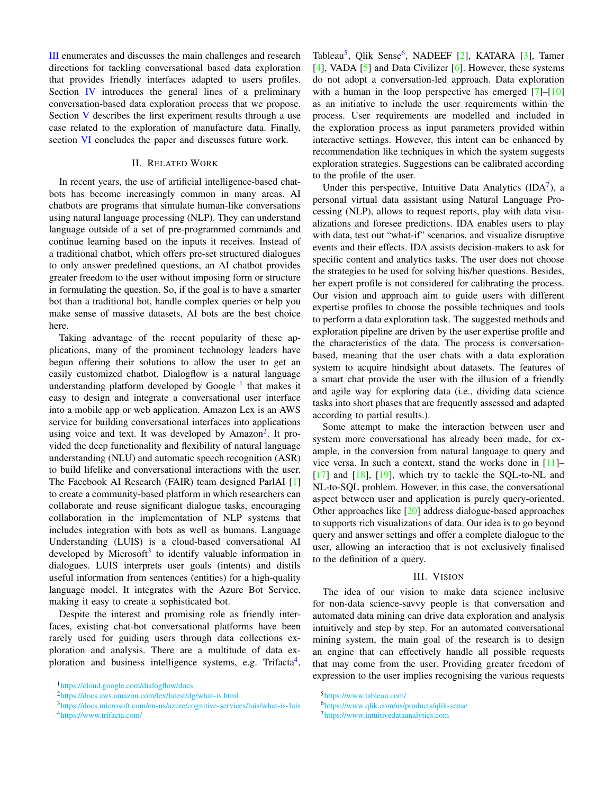III enumerates and discusses the main challenges and research directions for tackling conversational based data exploration that provides friendly interfaces adapted to users profiles. Section IV introduces the general lines of a preliminary conversation-based data exploration process that we propose. Section V describes the first experiment results through a use case related to the exploration of manufacture data. Finally, section VI concludes the paper and discusses future work.

## II. RELATED WORK

In recent years, the use of artificial intelligence-based chatbots has become increasingly common in many areas. AI chatbots are programs that simulate human-like conversations using natural language processing (NLP). They can understand language outside of a set of pre-programmed commands and continue learning based on the inputs it receives. Instead of a traditional chatbot, which offers pre-set structured dialogues to only answer predefined questions, an AI chatbot provides greater freedom to the user without imposing form or structure in formulating the question. So, if the goal is to have a smarter bot than a traditional bot, handle complex queries or help you make sense of massive datasets, AI bots are the best choice here.

Taking advantage of the recent popularity of these applications, many of the prominent technology leaders have begun offering their solutions to allow the user to get an easily customized chatbot. Dialogflow is a natural language understanding platform developed by Google<sup>1</sup> that makes it easy to design and integrate a conversational user interface into a mobile app or web application. Amazon Lex is an AWS service for building conversational interfaces into applications using voice and text. It was developed by Amazon<sup>2</sup>. It provided the deep functionality and flexibility of natural language understanding (NLU) and automatic speech recognition (ASR) to build lifelike and conversational interactions with the user. The Facebook AI Research (FAIR) team designed ParlAI [1] to create a community-based platform in which researchers can collaborate and reuse significant dialogue tasks, encouraging collaboration in the implementation of NLP systems that includes integration with bots as well as humans. Language Understanding (LUIS) is a cloud-based conversational AI developed by Microsoft<sup>3</sup> to identify valuable information in dialogues. LUIS interprets user goals (intents) and distils useful information from sentences (entities) for a high-quality language model. It integrates with the Azure Bot Service, making it easy to create a sophisticated bot.

Despite the interest and promising role as friendly interfaces, existing chat-bot conversational platforms have been rarely used for guiding users through data collections exploration and analysis. There are a multitude of data exploration and business intelligence systems, e.g. Trifacta<sup>4</sup>,

Tableau<sup>5</sup>, Qlik Sense<sup>6</sup>, NADEEF [2], KATARA [3], Tamer [4], VADA [5] and Data Civilizer [6]. However, these systems do not adopt a conversation-led approach. Data exploration with a human in the loop perspective has emerged  $[7]-[10]$ as an initiative to include the user requirements within the process. User requirements are modelled and included in the exploration process as input parameters provided within interactive settings. However, this intent can be enhanced by recommendation like techniques in which the system suggests exploration strategies. Suggestions can be calibrated according to the profile of the user.

Under this perspective, Intuitive Data Analytics  $(IDA^7)$ , a personal virtual data assistant using Natural Language Processing (NLP), allows to request reports, play with data visualizations and foresee predictions. IDA enables users to play with data, test out "what-if" scenarios, and visualize disruptive events and their effects. IDA assists decision-makers to ask for specific content and analytics tasks. The user does not choose the strategies to be used for solving his/her questions. Besides, her expert profile is not considered for calibrating the process. Our vision and approach aim to guide users with different expertise profiles to choose the possible techniques and tools to perform a data exploration task. The suggested methods and exploration pipeline are driven by the user expertise profile and the characteristics of the data. The process is conversationbased, meaning that the user chats with a data exploration system to acquire hindsight about datasets. The features of a smart chat provide the user with the illusion of a friendly and agile way for exploring data (i.e., dividing data science tasks into short phases that are frequently assessed and adapted according to partial results.).

Some attempt to make the interaction between user and system more conversational has already been made, for example, in the conversion from natural language to query and vice versa. In such a context, stand the works done in [11]–  $[17]$  and  $[18]$ ,  $[19]$ , which try to tackle the SQL-to-NL and NL-to-SQL problem. However, in this case, the conversational aspect between user and application is purely query-oriented. Other approaches like [20] address dialogue-based approaches to supports rich visualizations of data. Our idea is to go beyond query and answer settings and offer a complete dialogue to the user, allowing an interaction that is not exclusively finalised to the definition of a query.

#### III. VISION

The idea of our vision to make data science inclusive for non-data science-savvy people is that conversation and automated data mining can drive data exploration and analysis intuitively and step by step. For an automated conversational mining system, the main goal of the research is to design an engine that can effectively handle all possible requests that may come from the user. Providing greater freedom of expression to the user implies recognising the various requests

<sup>1</sup><https://cloud.google.com/dialogflow/docs>

<sup>2</sup><https://docs.aws.amazon.com/lex/latest/dg/what-is.html>

<sup>3</sup><https://docs.microsoft.com/en-us/azure/cognitive-services/luis/what-is-luis> <sup>4</sup><https://www.trifacta.com/>

<sup>5</sup><https://www.tableau.com/>

<sup>6</sup><https://www.qlik.com/us/products/qlik-sense>

<sup>7</sup><https://www.intuitivedataanalytics.com>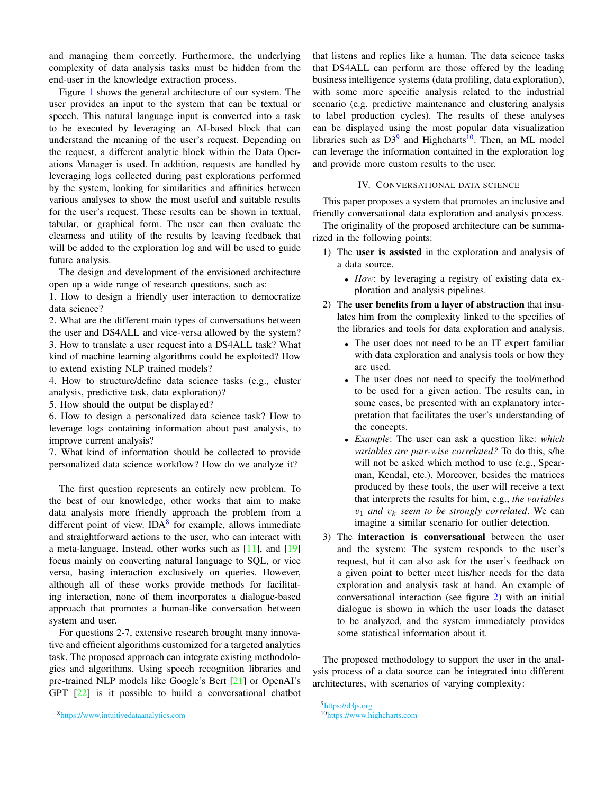and managing them correctly. Furthermore, the underlying complexity of data analysis tasks must be hidden from the end-user in the knowledge extraction process.

Figure 1 shows the general architecture of our system. The user provides an input to the system that can be textual or speech. This natural language input is converted into a task to be executed by leveraging an AI-based block that can understand the meaning of the user's request. Depending on the request, a different analytic block within the Data Operations Manager is used. In addition, requests are handled by leveraging logs collected during past explorations performed by the system, looking for similarities and affinities between various analyses to show the most useful and suitable results for the user's request. These results can be shown in textual, tabular, or graphical form. The user can then evaluate the clearness and utility of the results by leaving feedback that will be added to the exploration log and will be used to guide future analysis.

The design and development of the envisioned architecture open up a wide range of research questions, such as:

1. How to design a friendly user interaction to democratize data science?

2. What are the different main types of conversations between the user and DS4ALL and vice-versa allowed by the system? 3. How to translate a user request into a DS4ALL task? What kind of machine learning algorithms could be exploited? How to extend existing NLP trained models?

4. How to structure/define data science tasks (e.g., cluster analysis, predictive task, data exploration)?

5. How should the output be displayed?

6. How to design a personalized data science task? How to leverage logs containing information about past analysis, to improve current analysis?

7. What kind of information should be collected to provide personalized data science workflow? How do we analyze it?

The first question represents an entirely new problem. To the best of our knowledge, other works that aim to make data analysis more friendly approach the problem from a different point of view. IDA<sup>8</sup> for example, allows immediate and straightforward actions to the user, who can interact with a meta-language. Instead, other works such as [11], and [19] focus mainly on converting natural language to SQL, or vice versa, basing interaction exclusively on queries. However, although all of these works provide methods for facilitating interaction, none of them incorporates a dialogue-based approach that promotes a human-like conversation between system and user.

For questions 2-7, extensive research brought many innovative and efficient algorithms customized for a targeted analytics task. The proposed approach can integrate existing methodologies and algorithms. Using speech recognition libraries and pre-trained NLP models like Google's Bert [21] or OpenAI's GPT [22] is it possible to build a conversational chatbot

that listens and replies like a human. The data science tasks that DS4ALL can perform are those offered by the leading business intelligence systems (data profiling, data exploration), with some more specific analysis related to the industrial scenario (e.g. predictive maintenance and clustering analysis to label production cycles). The results of these analyses can be displayed using the most popular data visualization libraries such as  $D3^9$  and Highcharts<sup>10</sup>. Then, an ML model can leverage the information contained in the exploration log and provide more custom results to the user.

#### IV. CONVERSATIONAL DATA SCIENCE

This paper proposes a system that promotes an inclusive and friendly conversational data exploration and analysis process.

The originality of the proposed architecture can be summarized in the following points:

- 1) The user is assisted in the exploration and analysis of a data source.
	- *How*: by leveraging a registry of existing data exploration and analysis pipelines.
- 2) The user benefits from a layer of abstraction that insulates him from the complexity linked to the specifics of the libraries and tools for data exploration and analysis.
	- The user does not need to be an IT expert familiar with data exploration and analysis tools or how they are used.
	- The user does not need to specify the tool/method to be used for a given action. The results can, in some cases, be presented with an explanatory interpretation that facilitates the user's understanding of the concepts.
	- *Example*: The user can ask a question like: *which variables are pair-wise correlated?* To do this, s/he will not be asked which method to use (e.g., Spearman, Kendal, etc.). Moreover, besides the matrices produced by these tools, the user will receive a text that interprets the results for him, e.g., *the variables*  $v_1$  *and*  $v_k$  *seem to be strongly correlated*. We can imagine a similar scenario for outlier detection.
- 3) The interaction is conversational between the user and the system: The system responds to the user's request, but it can also ask for the user's feedback on a given point to better meet his/her needs for the data exploration and analysis task at hand. An example of conversational interaction (see figure 2) with an initial dialogue is shown in which the user loads the dataset to be analyzed, and the system immediately provides some statistical information about it.

The proposed methodology to support the user in the analysis process of a data source can be integrated into different architectures, with scenarios of varying complexity:

<sup>9</sup><https://d3js.org> <sup>10</sup><https://www.highcharts.com>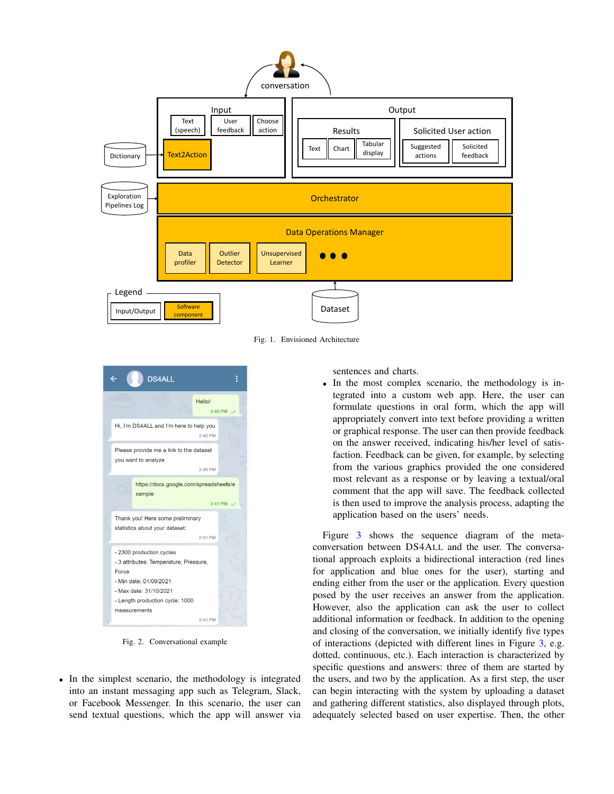

Fig. 1. Envisioned Architecture



Fig. 2. Conversational example

• In the simplest scenario, the methodology is integrated into an instant messaging app such as Telegram, Slack, or Facebook Messenger. In this scenario, the user can send textual questions, which the app will answer via sentences and charts.

• In the most complex scenario, the methodology is integrated into a custom web app. Here, the user can formulate questions in oral form, which the app will appropriately convert into text before providing a written or graphical response. The user can then provide feedback on the answer received, indicating his/her level of satisfaction. Feedback can be given, for example, by selecting from the various graphics provided the one considered most relevant as a response or by leaving a textual/oral comment that the app will save. The feedback collected is then used to improve the analysis process, adapting the application based on the users' needs.

Figure 3 shows the sequence diagram of the metaconversation between DS4ALL and the user. The conversational approach exploits a bidirectional interaction (red lines for application and blue ones for the user), starting and ending either from the user or the application. Every question posed by the user receives an answer from the application. However, also the application can ask the user to collect additional information or feedback. In addition to the opening and closing of the conversation, we initially identify five types of interactions (depicted with different lines in Figure 3, e.g. dotted, continuous, etc.). Each interaction is characterized by specific questions and answers: three of them are started by the users, and two by the application. As a first step, the user can begin interacting with the system by uploading a dataset and gathering different statistics, also displayed through plots, adequately selected based on user expertise. Then, the other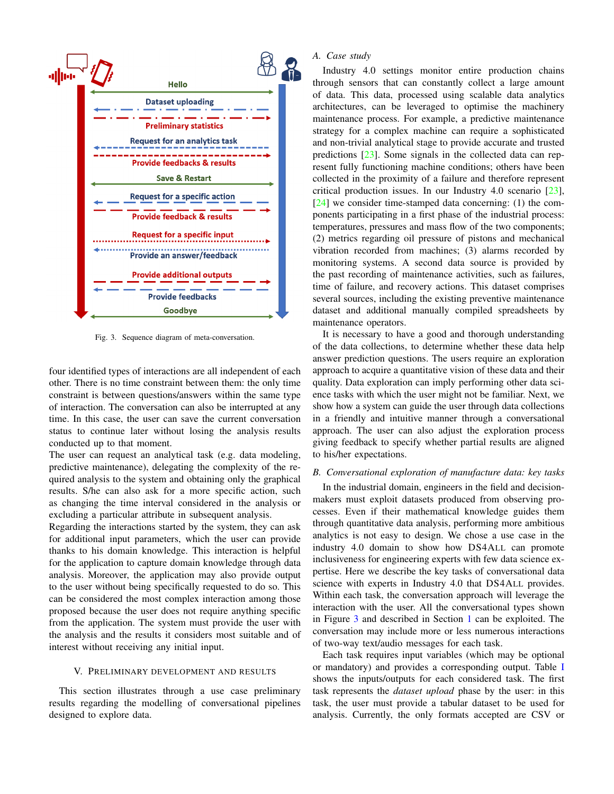

Fig. 3. Sequence diagram of meta-conversation.

four identified types of interactions are all independent of each other. There is no time constraint between them: the only time constraint is between questions/answers within the same type of interaction. The conversation can also be interrupted at any time. In this case, the user can save the current conversation status to continue later without losing the analysis results conducted up to that moment.

The user can request an analytical task (e.g. data modeling, predictive maintenance), delegating the complexity of the required analysis to the system and obtaining only the graphical results. S/he can also ask for a more specific action, such as changing the time interval considered in the analysis or excluding a particular attribute in subsequent analysis.

Regarding the interactions started by the system, they can ask for additional input parameters, which the user can provide thanks to his domain knowledge. This interaction is helpful for the application to capture domain knowledge through data analysis. Moreover, the application may also provide output to the user without being specifically requested to do so. This can be considered the most complex interaction among those proposed because the user does not require anything specific from the application. The system must provide the user with the analysis and the results it considers most suitable and of interest without receiving any initial input.

# V. PRELIMINARY DEVELOPMENT AND RESULTS

This section illustrates through a use case preliminary results regarding the modelling of conversational pipelines designed to explore data.

# *A. Case study*

Industry 4.0 settings monitor entire production chains through sensors that can constantly collect a large amount of data. This data, processed using scalable data analytics architectures, can be leveraged to optimise the machinery maintenance process. For example, a predictive maintenance strategy for a complex machine can require a sophisticated and non-trivial analytical stage to provide accurate and trusted predictions [23]. Some signals in the collected data can represent fully functioning machine conditions; others have been collected in the proximity of a failure and therefore represent critical production issues. In our Industry 4.0 scenario [23], [24] we consider time-stamped data concerning: (1) the components participating in a first phase of the industrial process: temperatures, pressures and mass flow of the two components; (2) metrics regarding oil pressure of pistons and mechanical vibration recorded from machines; (3) alarms recorded by monitoring systems. A second data source is provided by the past recording of maintenance activities, such as failures, time of failure, and recovery actions. This dataset comprises several sources, including the existing preventive maintenance dataset and additional manually compiled spreadsheets by maintenance operators.

It is necessary to have a good and thorough understanding of the data collections, to determine whether these data help answer prediction questions. The users require an exploration approach to acquire a quantitative vision of these data and their quality. Data exploration can imply performing other data science tasks with which the user might not be familiar. Next, we show how a system can guide the user through data collections in a friendly and intuitive manner through a conversational approach. The user can also adjust the exploration process giving feedback to specify whether partial results are aligned to his/her expectations.

#### *B. Conversational exploration of manufacture data: key tasks*

In the industrial domain, engineers in the field and decisionmakers must exploit datasets produced from observing processes. Even if their mathematical knowledge guides them through quantitative data analysis, performing more ambitious analytics is not easy to design. We chose a use case in the industry 4.0 domain to show how DS4ALL can promote inclusiveness for engineering experts with few data science expertise. Here we describe the key tasks of conversational data science with experts in Industry 4.0 that DS4ALL provides. Within each task, the conversation approach will leverage the interaction with the user. All the conversational types shown in Figure 3 and described in Section 1 can be exploited. The conversation may include more or less numerous interactions of two-way text/audio messages for each task.

Each task requires input variables (which may be optional or mandatory) and provides a corresponding output. Table I shows the inputs/outputs for each considered task. The first task represents the *dataset upload* phase by the user: in this task, the user must provide a tabular dataset to be used for analysis. Currently, the only formats accepted are CSV or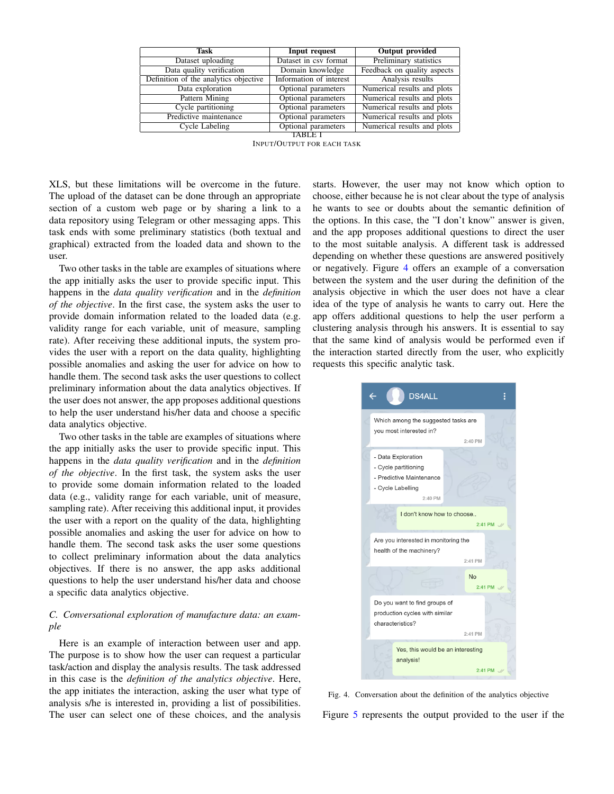| Task                                  | Input request           | <b>Output</b> provided      |
|---------------------------------------|-------------------------|-----------------------------|
| Dataset uploading                     | Dataset in csy format   | Preliminary statistics      |
| Data quality verification             | Domain knowledge        | Feedback on quality aspects |
| Definition of the analytics objective | Information of interest | Analysis results            |
| Data exploration                      | Optional parameters     | Numerical results and plots |
| Pattern Mining                        | Optional parameters     | Numerical results and plots |
| Cycle partitioning                    | Optional parameters     | Numerical results and plots |
| Predictive maintenance                | Optional parameters     | Numerical results and plots |
| Cycle Labeling                        | Optional parameters     | Numerical results and plots |
| TABLE                                 |                         |                             |

INPUT/OUTPUT FOR EACH TASK

XLS, but these limitations will be overcome in the future. The upload of the dataset can be done through an appropriate section of a custom web page or by sharing a link to a data repository using Telegram or other messaging apps. This task ends with some preliminary statistics (both textual and graphical) extracted from the loaded data and shown to the user.

Two other tasks in the table are examples of situations where the app initially asks the user to provide specific input. This happens in the *data quality verification* and in the *definition of the objective*. In the first case, the system asks the user to provide domain information related to the loaded data (e.g. validity range for each variable, unit of measure, sampling rate). After receiving these additional inputs, the system provides the user with a report on the data quality, highlighting possible anomalies and asking the user for advice on how to handle them. The second task asks the user questions to collect preliminary information about the data analytics objectives. If the user does not answer, the app proposes additional questions to help the user understand his/her data and choose a specific data analytics objective.

Two other tasks in the table are examples of situations where the app initially asks the user to provide specific input. This happens in the *data quality verification* and in the *definition of the objective*. In the first task, the system asks the user to provide some domain information related to the loaded data (e.g., validity range for each variable, unit of measure, sampling rate). After receiving this additional input, it provides the user with a report on the quality of the data, highlighting possible anomalies and asking the user for advice on how to handle them. The second task asks the user some questions to collect preliminary information about the data analytics objectives. If there is no answer, the app asks additional questions to help the user understand his/her data and choose a specific data analytics objective.

# *C. Conversational exploration of manufacture data: an example*

Here is an example of interaction between user and app. The purpose is to show how the user can request a particular task/action and display the analysis results. The task addressed in this case is the *definition of the analytics objective*. Here, the app initiates the interaction, asking the user what type of analysis s/he is interested in, providing a list of possibilities. The user can select one of these choices, and the analysis

starts. However, the user may not know which option to choose, either because he is not clear about the type of analysis he wants to see or doubts about the semantic definition of the options. In this case, the "I don't know" answer is given, and the app proposes additional questions to direct the user to the most suitable analysis. A different task is addressed depending on whether these questions are answered positively or negatively. Figure 4 offers an example of a conversation between the system and the user during the definition of the analysis objective in which the user does not have a clear idea of the type of analysis he wants to carry out. Here the app offers additional questions to help the user perform a clustering analysis through his answers. It is essential to say that the same kind of analysis would be performed even if the interaction started directly from the user, who explicitly requests this specific analytic task.



Fig. 4. Conversation about the definition of the analytics objective

Figure 5 represents the output provided to the user if the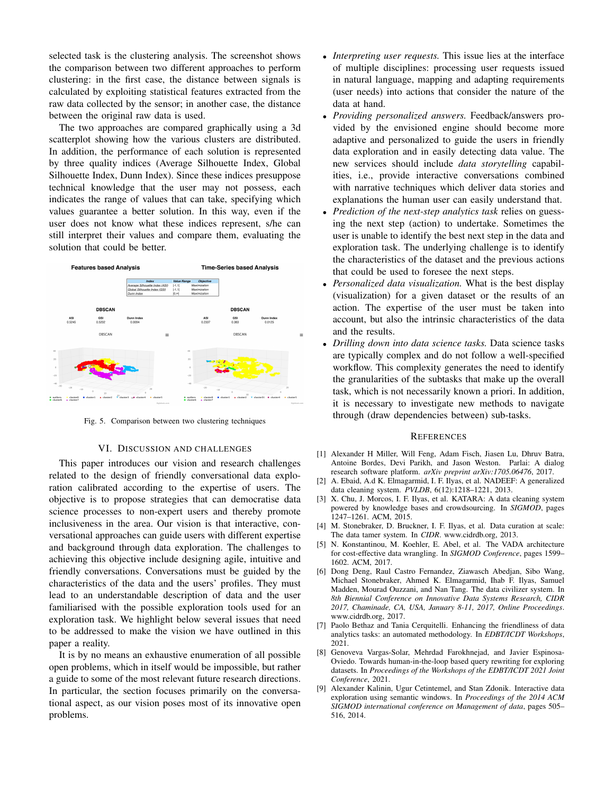selected task is the clustering analysis. The screenshot shows the comparison between two different approaches to perform clustering: in the first case, the distance between signals is calculated by exploiting statistical features extracted from the raw data collected by the sensor; in another case, the distance between the original raw data is used.

The two approaches are compared graphically using a 3d scatterplot showing how the various clusters are distributed. In addition, the performance of each solution is represented by three quality indices (Average Silhouette Index, Global Silhouette Index, Dunn Index). Since these indices presuppose technical knowledge that the user may not possess, each indicates the range of values that can take, specifying which values guarantee a better solution. In this way, even if the user does not know what these indices represent, s/he can still interpret their values and compare them, evaluating the solution that could be better.



Fig. 5. Comparison between two clustering techniques

#### VI. DISCUSSION AND CHALLENGES

This paper introduces our vision and research challenges related to the design of friendly conversational data exploration calibrated according to the expertise of users. The objective is to propose strategies that can democratise data science processes to non-expert users and thereby promote inclusiveness in the area. Our vision is that interactive, conversational approaches can guide users with different expertise and background through data exploration. The challenges to achieving this objective include designing agile, intuitive and friendly conversations. Conversations must be guided by the characteristics of the data and the users' profiles. They must lead to an understandable description of data and the user familiarised with the possible exploration tools used for an exploration task. We highlight below several issues that need to be addressed to make the vision we have outlined in this paper a reality.

It is by no means an exhaustive enumeration of all possible open problems, which in itself would be impossible, but rather a guide to some of the most relevant future research directions. In particular, the section focuses primarily on the conversational aspect, as our vision poses most of its innovative open problems.

- *Interpreting user requests.* This issue lies at the interface of multiple disciplines: processing user requests issued in natural language, mapping and adapting requirements (user needs) into actions that consider the nature of the data at hand.
- *Providing personalized answers.* Feedback/answers provided by the envisioned engine should become more adaptive and personalized to guide the users in friendly data exploration and in easily detecting data value. The new services should include *data storytelling* capabilities, i.e., provide interactive conversations combined with narrative techniques which deliver data stories and explanations the human user can easily understand that.
- *Prediction of the next-step analytics task* relies on guessing the next step (action) to undertake. Sometimes the user is unable to identify the best next step in the data and exploration task. The underlying challenge is to identify the characteristics of the dataset and the previous actions that could be used to foresee the next steps.
- *Personalized data visualization.* What is the best display (visualization) for a given dataset or the results of an action. The expertise of the user must be taken into account, but also the intrinsic characteristics of the data and the results.
- *Drilling down into data science tasks.* Data science tasks are typically complex and do not follow a well-specified workflow. This complexity generates the need to identify the granularities of the subtasks that make up the overall task, which is not necessarily known a priori. In addition, it is necessary to investigate new methods to navigate through (draw dependencies between) sub-tasks.

#### **REFERENCES**

- [1] Alexander H Miller, Will Feng, Adam Fisch, Jiasen Lu, Dhruv Batra, Antoine Bordes, Devi Parikh, and Jason Weston. Parlai: A dialog research software platform. *arXiv preprint arXiv:1705.06476*, 2017.
- [2] A. Ebaid, A.d K. Elmagarmid, I. F. Ilyas, et al. NADEEF: A generalized data cleaning system. *PVLDB*, 6(12):1218–1221, 2013.
- [3] X. Chu, J. Morcos, I. F. Ilyas, et al. KATARA: A data cleaning system powered by knowledge bases and crowdsourcing. In *SIGMOD*, pages 1247–1261. ACM, 2015.
- [4] M. Stonebraker, D. Bruckner, I. F. Ilyas, et al. Data curation at scale: The data tamer system. In *CIDR*. www.cidrdb.org, 2013.
- [5] N. Konstantinou, M. Koehler, E. Abel, et al. The VADA architecture for cost-effective data wrangling. In *SIGMOD Conference*, pages 1599– 1602. ACM, 2017.
- [6] Dong Deng, Raul Castro Fernandez, Ziawasch Abedjan, Sibo Wang, Michael Stonebraker, Ahmed K. Elmagarmid, Ihab F. Ilyas, Samuel Madden, Mourad Ouzzani, and Nan Tang. The data civilizer system. In *8th Biennial Conference on Innovative Data Systems Research, CIDR 2017, Chaminade, CA, USA, January 8-11, 2017, Online Proceedings*. www.cidrdb.org, 2017.
- [7] Paolo Bethaz and Tania Cerquitelli. Enhancing the friendliness of data analytics tasks: an automated methodology. In *EDBT/ICDT Workshops*, 2021.
- [8] Genoveva Vargas-Solar, Mehrdad Farokhnejad, and Javier Espinosa-Oviedo. Towards human-in-the-loop based query rewriting for exploring datasets. In *Proceedings of the Workshops of the EDBT/ICDT 2021 Joint Conference*, 2021.
- [9] Alexander Kalinin, Ugur Cetintemel, and Stan Zdonik. Interactive data exploration using semantic windows. In *Proceedings of the 2014 ACM SIGMOD international conference on Management of data*, pages 505– 516, 2014.